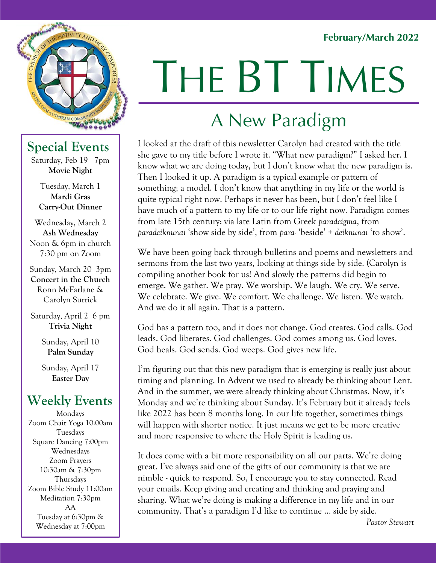#### **February/March 2022**



#### **Special Events**

Saturday, Feb 19 7pm **Movie Night**

> Tuesday, March 1 **Mardi Gras Carry-Out Dinner**

Wednesday, March 2 **Ash Wednesday** Noon & 6pm in church 7:30 pm on Zoom

Sunday, March 20 3pm **Concert in the Church** Ronn McFarlane & Carolyn Surrick

Saturday, April 2 6 pm **Trivia Night**

> Sunday, April 10 **Palm Sunday**

Sunday, April 17 **Easter Day**

#### **Weekly Events**

Mondays Zoom Chair Yoga 10:00am Tuesdays Square Dancing 7:00pm Wednesdays Zoom Prayers 10:30am & 7:30pm Thursdays Zoom Bible Study 11:00am Meditation 7:30pm AA Tuesday at 6:30pm & Wednesday at 7:00pm

# **MF5** THE BT TIMES

## A New Paradigm

**Tidings** I looked at the draft of this newsletter Carolyn had created with the title she gave to my title before I wrote it. "What new paradigm?" I asked her. I know what we are doing today, but I don't know what the new paradigm is. Then I looked it up. A paradigm is a typical example or pattern of something; a model. I don't know that anything in my life or the world is quite typical right now. Perhaps it never has been, but I don't feel like I have much of a pattern to my life or to our life right now. Paradigm comes from late 15th century: via late Latin from Greek *paradeigma*, from *paradeiknunai* 'show side by side', from *para-* 'beside' + *deiknunai* 'to show'.

We have been going back through bulletins and poems and newsletters and sermons from the last two years, looking at things side by side. (Carolyn is compiling another book for us! And slowly the patterns did begin to emerge. We gather. We pray. We worship. We laugh. We cry. We serve. We celebrate. We give. We comfort. We challenge. We listen. We watch. And we do it all again. That is a pattern.

God has a pattern too, and it does not change. God creates. God calls. God leads. God liberates. God challenges. God comes among us. God loves. God heals. God sends. God weeps. God gives new life.

I'm figuring out that this new paradigm that is emerging is really just about timing and planning. In Advent we used to already be thinking about Lent. And in the summer, we were already thinking about Christmas. Now, it's Monday and we're thinking about Sunday. It's February but it already feels like 2022 has been 8 months long. In our life together, sometimes things will happen with shorter notice. It just means we get to be more creative and more responsive to where the Holy Spirit is leading us.

It does come with a bit more responsibility on all our parts. We're doing great. I've always said one of the gifts of our community is that we are nimble - quick to respond. So, I encourage you to stay connected. Read your emails. Keep giving and creating and thinking and praying and sharing. What we're doing is making a difference in my life and in our community. That's a paradigm I'd like to continue … side by side.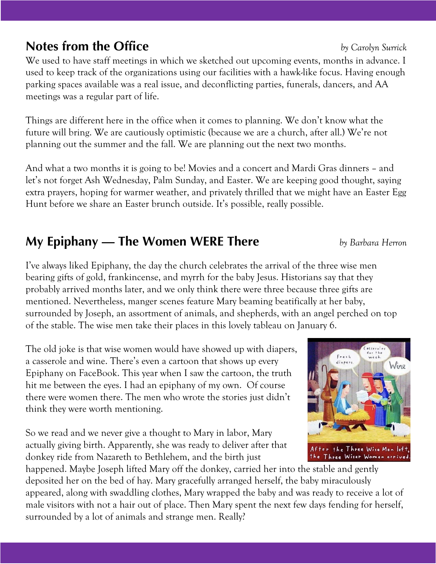#### **Notes from the Office** *by Carolyn Surrick*

We used to have staff meetings in which we sketched out upcoming events, months in advance. I used to keep track of the organizations using our facilities with a hawk-like focus. Having enough parking spaces available was a real issue, and deconflicting parties, funerals, dancers, and AA meetings was a regular part of life.

Things are different here in the office when it comes to planning. We don't know what the future will bring. We are cautiously optimistic (because we are a church, after all.) We're not planning out the summer and the fall. We are planning out the next two months.

And what a two months it is going to be! Movies and a concert and Mardi Gras dinners – and let's not forget Ash Wednesday, Palm Sunday, and Easter. We are keeping good thought, saying extra prayers, hoping for warmer weather, and privately thrilled that we might have an Easter Egg Hunt before we share an Easter brunch outside. It's possible, really possible.

### **My Epiphany — The Women WERE There** *by Barbara Herron*

I've always liked Epiphany, the day the church celebrates the arrival of the three wise men bearing gifts of gold, frankincense, and myrrh for the baby Jesus. Historians say that they probably arrived months later, and we only think there were three because three gifts are mentioned. Nevertheless, manger scenes feature Mary beaming beatifically at her baby, surrounded by Joseph, an assortment of animals, and shepherds, with an angel perched on top of the stable. The wise men take their places in this lovely tableau on January 6.

The old joke is that wise women would have showed up with diapers, a casserole and wine. There's even a cartoon that shows up every Epiphany on FaceBook. This year when I saw the cartoon, the truth hit me between the eyes. I had an epiphany of my own. Of course there were women there. The men who wrote the stories just didn't think they were worth mentioning.

So we read and we never give a thought to Mary in labor, Mary actually giving birth. Apparently, she was ready to deliver after that donkey ride from Nazareth to Bethlehem, and the birth just

happened. Maybe Joseph lifted Mary off the donkey, carried her into the stable and gently deposited her on the bed of hay. Mary gracefully arranged herself, the baby miraculously appeared, along with swaddling clothes, Mary wrapped the baby and was ready to receive a lot of male visitors with not a hair out of place. Then Mary spent the next few days fending for herself, surrounded by a lot of animals and strange men. Really?



#### After the Three Wise Men lef the Three Wiser Women arrive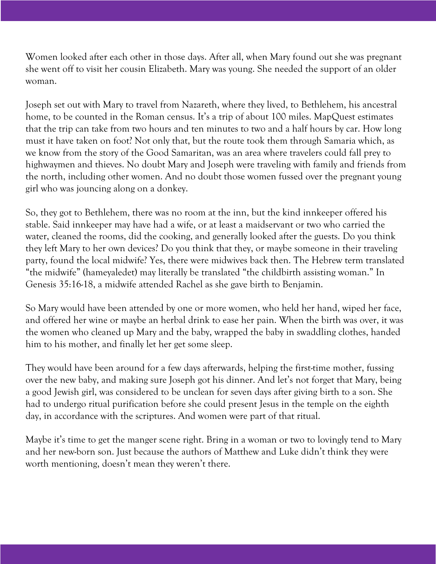Women looked after each other in those days. After all, when Mary found out she was pregnant she went off to visit her cousin Elizabeth. Mary was young. She needed the support of an older woman.

Joseph set out with Mary to travel from Nazareth, where they lived, to Bethlehem, his ancestral home, to be counted in the Roman census. It's a trip of about 100 miles. MapQuest estimates that the trip can take from two hours and ten minutes to two and a half hours by car. How long must it have taken on foot? Not only that, but the route took them through Samaria which, as we know from the story of the Good Samaritan, was an area where travelers could fall prey to highwaymen and thieves. No doubt Mary and Joseph were traveling with family and friends from the north, including other women. And no doubt those women fussed over the pregnant young girl who was jouncing along on a donkey.

So, they got to Bethlehem, there was no room at the inn, but the kind innkeeper offered his stable. Said innkeeper may have had a wife, or at least a maidservant or two who carried the water, cleaned the rooms, did the cooking, and generally looked after the guests. Do you think they left Mary to her own devices? Do you think that they, or maybe someone in their traveling party, found the local midwife? Yes, there were midwives back then. The Hebrew term translated "the midwife" (hameyaledet) may literally be translated "the childbirth assisting woman." In Genesis 35:16-18, a midwife attended Rachel as she gave birth to Benjamin.

So Mary would have been attended by one or more women, who held her hand, wiped her face, and offered her wine or maybe an herbal drink to ease her pain. When the birth was over, it was the women who cleaned up Mary and the baby, wrapped the baby in swaddling clothes, handed him to his mother, and finally let her get some sleep.

They would have been around for a few days afterwards, helping the first-time mother, fussing over the new baby, and making sure Joseph got his dinner. And let's not forget that Mary, being a good Jewish girl, was considered to be unclean for seven days after giving birth to a son. She had to undergo ritual purification before she could present Jesus in the temple on the eighth day, in accordance with the scriptures. And women were part of that ritual.

Maybe it's time to get the manger scene right. Bring in a woman or two to lovingly tend to Mary and her new-born son. Just because the authors of Matthew and Luke didn't think they were worth mentioning, doesn't mean they weren't there.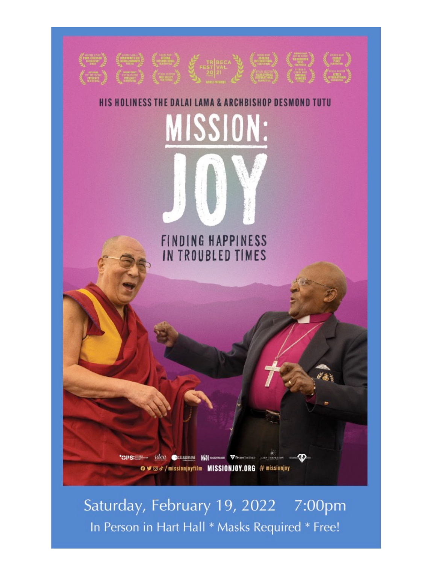

Saturday, February 19, 2022 7:00pm In Person in Hart Hall \* Masks Required \* Free!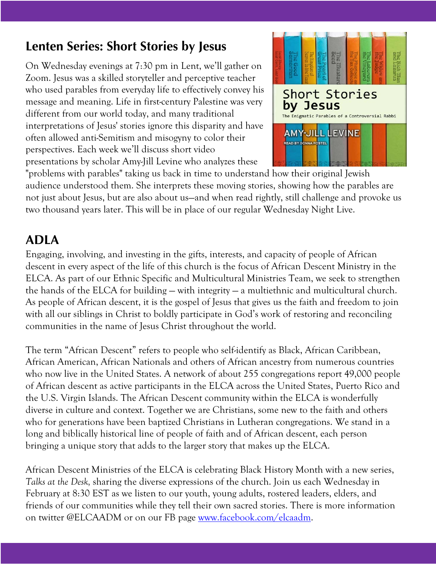#### **Lenten Series: Short Stories by Jesus**

On Wednesday evenings at 7:30 pm in Lent, we'll gather on Zoom. Jesus was a skilled storyteller and perceptive teacher who used parables from everyday life to effectively convey his message and meaning. Life in first-century Palestine was very different from our world today, and many traditional interpretations of Jesus' stories ignore this disparity and have often allowed anti-Semitism and misogyny to color their perspectives. Each week we'll discuss short video presentations by scholar Amy-Jill Levine who analyzes these



"problems with parables" taking us back in time to understand how their original Jewish audience understood them. She interprets these moving stories, showing how the parables are not just about Jesus, but are also about us—and when read rightly, still challenge and provoke us two thousand years later. This will be in place of our regular Wednesday Night Live.

#### **ADLA**

Engaging, involving, and investing in the gifts, interests, and capacity of people of African descent in every aspect of the life of this church is the focus of African Descent Ministry in the ELCA. As part of our Ethnic Specific and Multicultural Ministries Team, we seek to strengthen the hands of the ELCA for building — with integrity — a multiethnic and multicultural church. As people of African descent, it is the gospel of Jesus that gives us the faith and freedom to join with all our siblings in Christ to boldly participate in God's work of restoring and reconciling communities in the name of Jesus Christ throughout the world.

The term "African Descent" refers to people who self-identify as Black, African Caribbean, African American, African Nationals and others of African ancestry from numerous countries who now live in the United States. A network of about 255 congregations report 49,000 people of African descent as active participants in the ELCA across the United States, Puerto Rico and the U.S. Virgin Islands. The African Descent community within the ELCA is wonderfully diverse in culture and context. Together we are Christians, some new to the faith and others who for generations have been baptized Christians in Lutheran congregations. We stand in a long and biblically historical line of people of faith and of African descent, each person bringing a unique story that adds to the larger story that makes up the ELCA.

African Descent Ministries of the ELCA is celebrating Black History Month with a new series, *Talks at the Desk,* sharing the diverse expressions of the church. Join us each Wednesday in February at 8:30 EST as we listen to our youth, young adults, rostered leaders, elders, and friends of our communities while they tell their own sacred stories. There is more information on twitter @ELCAADM or on our FB page www.facebook.com/elcaadm.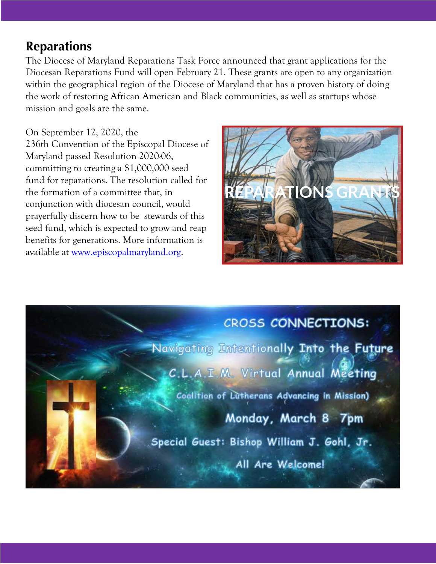#### **Reparations**

The Diocese of Maryland Reparations Task Force announced that grant applications for the Diocesan Reparations Fund will open February 21. These grants are open to any organization within the geographical region of the Diocese of Maryland that has a proven history of doing the work of restoring African American and Black communities, as well as startups whose mission and goals are the same.

#### On September 12, 2020, the

236th Convention of the Episcopal Diocese of Maryland passed Resolution 2020-06, committing to creating a \$1,000,000 seed fund for reparations. The resolution called for the formation of a committee that, in conjunction with diocesan council, would prayerfully discern how to be stewards of this seed fund, which is expected to grow and reap benefits for generations. More information is available at www.episcopalmaryland.org.



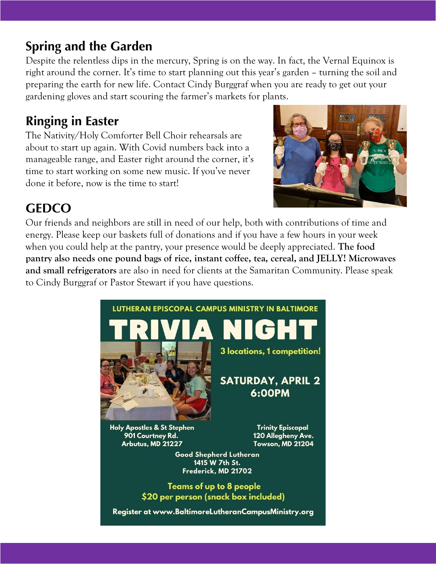#### **Spring and the Garden**

Despite the relentless dips in the mercury, Spring is on the way. In fact, the Vernal Equinox is right around the corner. It's time to start planning out this year's garden – turning the soil and preparing the earth for new life. Contact Cindy Burggraf when you are ready to get out your gardening gloves and start scouring the farmer's markets for plants.

#### **Ringing in Easter**

The Nativity/Holy Comforter Bell Choir rehearsals are about to start up again. With Covid numbers back into a manageable range, and Easter right around the corner, it's time to start working on some new music. If you've never done it before, now is the time to start!



### **GEDCO**

Our friends and neighbors are still in need of our help, both with contributions of time and energy. Please keep our baskets full of donations and if you have a few hours in your week when you could help at the pantry, your presence would be deeply appreciated. **The food pantry also needs one pound bags of rice, instant coffee, tea, cereal, and JELLY! Microwaves and small refrigerators** are also in need for clients at the Samaritan Community. Please speak to Cindy Burggraf or Pastor Stewart if you have questions.



Register at www.BaltimoreLutheranCampusMinistry.org